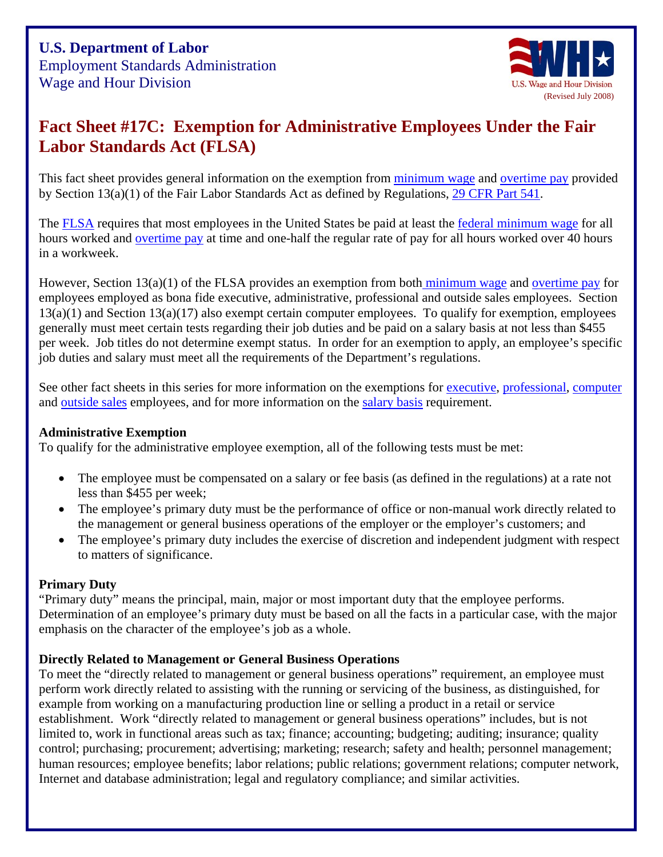

# **Fact Sheet #17C: Exemption for Administrative Employees Under the Fair Labor Standards Act (FLSA)**

This fact sheet provides general information on the exemption from [minimum wage](http://www.dol.gov/esa/WHD/minimumwage.htm) and [overtime pay](http://www.dol.gov/esa/whd/overtime_pay.htm) provided by Section 13(a)(1) of the Fair Labor Standards Act as defined by Regulations, [29 CFR Part 541.](http://www.dol.gov/dol/allcfr/ESA/Title_29/Part_541/toc.htm)

The [FLSA](http://www.dol.gov/esa/whd/flsa/index.htm) requires that most employees in the United States be paid at least the [federal minimum wage](http://www.dol.gov/esa/WHD/minimumwage.htm) for all hours worked and [overtime pay](http://www.dol.gov/esa/whd/overtime_pay.htm) at time and one-half the regular rate of pay for all hours worked over 40 hours in a workweek.

However, Section 13(a)(1) of the FLSA provides an exemption from both [minimum wage](http://www.dol.gov/esa/WHD/minimumwage.htm) and [overtime pay](http://www.dol.gov/esa/whd/overtime_pay.htm) for employees employed as bona fide executive, administrative, professional and outside sales employees. Section 13(a)(1) and Section 13(a)(17) also exempt certain computer employees. To qualify for exemption, employees generally must meet certain tests regarding their job duties and be paid on a salary basis at not less than \$455 per week. Job titles do not determine exempt status. In order for an exemption to apply, an employee's specific job duties and salary must meet all the requirements of the Department's regulations.

See other fact sheets in this series for more information on the exemptions for [executive,](http://www.dol.gov/esa/whd/regs/compliance/fairpay/fs17b_executive.pdf) [professional](http://www.dol.gov/esa/whd/regs/compliance/fairpay/fs17d_professional.pdf), [computer](http://www.dol.gov/esa/whd/regs/compliance/fairpay/fs17e_computer.pdf) and [outside sales](http://www.dol.gov/esa/whd/regs/compliance/fairpay/fs17f_outsidesales.pdf) employees, and for more information on the [salary basis](http://www.dol.gov/esa/whd/regs/compliance/fairpay/fs17g_salary.pdf) requirement.

## **Administrative Exemption**

To qualify for the administrative employee exemption, all of the following tests must be met:

- The employee must be compensated on a salary or fee basis (as defined in the regulations) at a rate not less than \$455 per week;
- The employee's primary duty must be the performance of office or non-manual work directly related to the management or general business operations of the employer or the employer's customers; and
- The employee's primary duty includes the exercise of discretion and independent judgment with respect to matters of significance.

# **Primary Duty**

"Primary duty" means the principal, main, major or most important duty that the employee performs. Determination of an employee's primary duty must be based on all the facts in a particular case, with the major emphasis on the character of the employee's job as a whole.

# **Directly Related to Management or General Business Operations**

To meet the "directly related to management or general business operations" requirement, an employee must perform work directly related to assisting with the running or servicing of the business, as distinguished, for example from working on a manufacturing production line or selling a product in a retail or service establishment. Work "directly related to management or general business operations" includes, but is not limited to, work in functional areas such as tax; finance; accounting; budgeting; auditing; insurance; quality control; purchasing; procurement; advertising; marketing; research; safety and health; personnel management; human resources; employee benefits; labor relations; public relations; government relations; computer network, Internet and database administration; legal and regulatory compliance; and similar activities.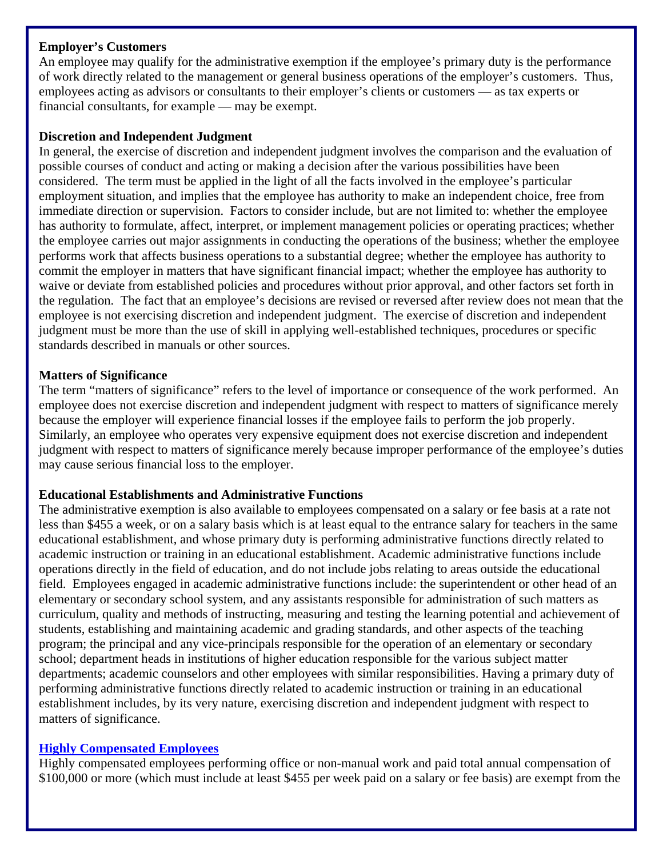#### **Employer's Customers**

An employee may qualify for the administrative exemption if the employee's primary duty is the performance of work directly related to the management or general business operations of the employer's customers. Thus, employees acting as advisors or consultants to their employer's clients or customers — as tax experts or financial consultants, for example — may be exempt.

#### **Discretion and Independent Judgment**

In general, the exercise of discretion and independent judgment involves the comparison and the evaluation of possible courses of conduct and acting or making a decision after the various possibilities have been considered. The term must be applied in the light of all the facts involved in the employee's particular employment situation, and implies that the employee has authority to make an independent choice, free from immediate direction or supervision. Factors to consider include, but are not limited to: whether the employee has authority to formulate, affect, interpret, or implement management policies or operating practices; whether the employee carries out major assignments in conducting the operations of the business; whether the employee performs work that affects business operations to a substantial degree; whether the employee has authority to commit the employer in matters that have significant financial impact; whether the employee has authority to waive or deviate from established policies and procedures without prior approval, and other factors set forth in the regulation. The fact that an employee's decisions are revised or reversed after review does not mean that the employee is not exercising discretion and independent judgment. The exercise of discretion and independent judgment must be more than the use of skill in applying well-established techniques, procedures or specific standards described in manuals or other sources.

#### **Matters of Significance**

The term "matters of significance" refers to the level of importance or consequence of the work performed. An employee does not exercise discretion and independent judgment with respect to matters of significance merely because the employer will experience financial losses if the employee fails to perform the job properly. Similarly, an employee who operates very expensive equipment does not exercise discretion and independent judgment with respect to matters of significance merely because improper performance of the employee's duties may cause serious financial loss to the employer.

## **Educational Establishments and Administrative Functions**

The administrative exemption is also available to employees compensated on a salary or fee basis at a rate not less than \$455 a week, or on a salary basis which is at least equal to the entrance salary for teachers in the same educational establishment, and whose primary duty is performing administrative functions directly related to academic instruction or training in an educational establishment. Academic administrative functions include operations directly in the field of education, and do not include jobs relating to areas outside the educational field.Employees engaged in academic administrative functions include: the superintendent or other head of an elementary or secondary school system, and any assistants responsible for administration of such matters as curriculum, quality and methods of instructing, measuring and testing the learning potential and achievement of students, establishing and maintaining academic and grading standards, and other aspects of the teaching program; the principal and any vice-principals responsible for the operation of an elementary or secondary school; department heads in institutions of higher education responsible for the various subject matter departments; academic counselors and other employees with similar responsibilities. Having a primary duty of performing administrative functions directly related to academic instruction or training in an educational establishment includes, by its very nature, exercising discretion and independent judgment with respect to matters of significance.

#### **[Highly Compensated Employees](http://www.dol.gov/esa/regs/whd/compliance/fairpay/fs17h_highly_comp.htm)**

Highly compensated employees performing office or non-manual work and paid total annual compensation of \$100,000 or more (which must include at least \$455 per week paid on a salary or fee basis) are exempt from the